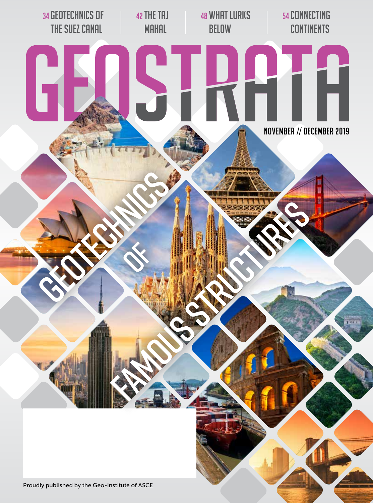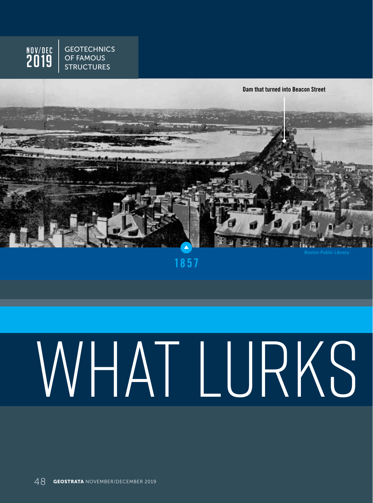



**1857**

# WHAT LURKS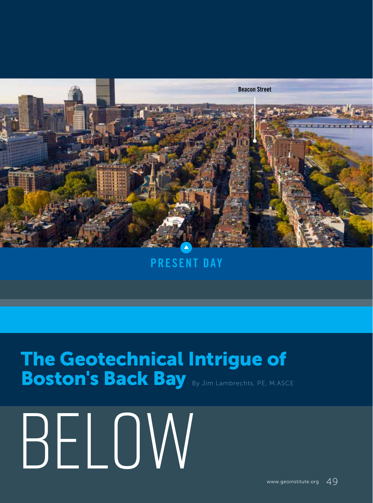

### **PRESENT DAY**

## The Geotechnical Intrigue of Boston's Back Bay By Jim Lambrechts, PE, M.ASCE

Below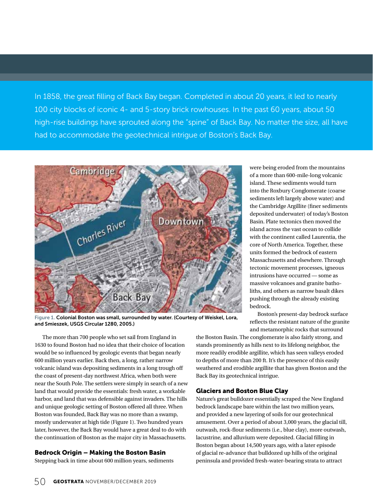In 1858, the great filling of Back Bay began. Completed in about 20 years, it led to nearly 100 city blocks of iconic 4- and 5-story brick rowhouses. In the past 60 years, about 50 high-rise buildings have sprouted along the "spine" of Back Bay. No matter the size, all have had to accommodate the geotechnical intrigue of Boston's Back Bay.



Figure 1. Colonial Boston was small, surrounded by water. (Courtesy of Weiskel, Lora, and Smieszek, USGS Circular 1280, 2005.)

The more than 700 people who set sail from England in 1630 to found Boston had no idea that their choice of location would be so influenced by geologic events that began nearly 600 million years earlier. Back then, a long, rather narrow volcanic island was depositing sediments in a long trough off the coast of present-day northwest Africa, when both were near the South Pole. The settlers were simply in search of a new land that would provide the essentials: fresh water, a workable harbor, and land that was defensible against invaders. The hills and unique geologic setting of Boston offered all three. When Boston was founded, Back Bay was no more than a swamp, mostly underwater at high tide (Figure 1). Two hundred years later, however, the Back Bay would have a great deal to do with the continuation of Boston as the major city in Massachusetts.

#### Bedrock Origin – Making the Boston Basin

Stepping back in time about 600 million years, sediments

were being eroded from the mountains of a more than 600-mile-long volcanic island. These sediments would turn into the Roxbury Conglomerate (coarse sediments left largely above water) and the Cambridge Argillite (finer sediments deposited underwater) of today's Boston Basin. Plate tectonics then moved the island across the vast ocean to collide with the continent called Laurentia, the core of North America. Together, these units formed the bedrock of eastern Massachusetts and elsewhere. Through tectonic movement processes, igneous intrusions have occurred — some as massive volcanoes and granite batholiths, and others as narrow basalt dikes pushing through the already existing bedrock.

Boston's present-day bedrock surface reflects the resistant nature of the granite and metamorphic rocks that surround

the Boston Basin. The conglomerate is also fairly strong, and stands prominently as hills next to its lifelong neighbor, the more readily erodible argillite, which has seen valleys eroded to depths of more than 200 ft. It's the presence of this easily weathered and erodible argillite that has given Boston and the Back Bay its geotechnical intrigue.

#### Glaciers and Boston Blue Clay

Nature's great bulldozer essentially scraped the New England bedrock landscape bare within the last two million years, and provided a new layering of soils for our geotechnical amusement. Over a period of about 3,000 years, the glacial till, outwash, rock-flour sediments (i.e., blue clay), more outwash, lacustrine, and alluvium were deposited. Glacial filling in Boston began about 14,500 years ago, with a later episode of glacial re-advance that bulldozed up hills of the original peninsula and provided fresh-water-bearing strata to attract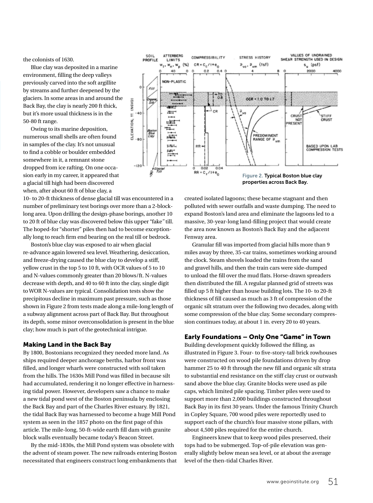the colonists of 1630.

Blue clay was deposited in a marine environment, filling the deep valleys previously carved into the soft argillite by streams and further deepened by the glaciers. In some areas in and around the Back Bay, the clay is nearly 200 ft thick, but it's more usual thickness is in the 50-80 ft range.

Owing to its marine deposition, numerous small shells are often found in samples of the clay. It's not unusual to find a cobble or boulder embedded somewhere in it, a remnant stone dropped from ice rafting. On one occasion early in my career, it appeared that a glacial till high had been discovered when, after about 60 ft of blue clay, a

10- to 20-ft thickness of dense glacial till was encountered in a number of preliminary test borings over more than a 2-blocklong area. Upon drilling the design-phase borings, another 10 to 20 ft of blue clay was discovered below this upper "fake*"* till. The hoped-for "shorter" piles then had to become exceptionally long to reach firm end bearing on the real till or bedrock.

Boston's blue clay was exposed to air when glacial re-advance again lowered sea level. Weathering, desiccation, and freeze-drying caused the blue clay to develop a stiff, yellow crust in the top 5 to 10 ft, with OCR values of 5 to 10 and N-values commonly greater than 20 blows/ft. N-values decrease with depth, and 40 to 60 ft into the clay, single digit to WOR N-values are typical. Consolidation tests show the precipitous decline in maximum past pressure, such as those shown in Figure 2 from tests made along a mile-long length of a subway alignment across part of Back Bay. But throughout its depth, some minor overconsolidation is present in the blue clay; how much is part of the geotechnical intrigue.

#### Making Land in the Back Bay

By 1800, Bostonians recognized they needed more land. As ships required deeper anchorage berths, harbor front was filled, and longer wharfs were constructed with soil taken from the hills. The 1630s Mill Pond was filled in because silt had accumulated, rendering it no longer effective in harnessing tidal power. However, developers saw a chance to make a new tidal pond west of the Boston peninsula by enclosing the Back Bay and part of the Charles River estuary. By 1821, the tidal Back Bay was harnessed to become a huge Mill Pond system as seen in the 1857 photo on the first page of this article. The mile-long, 50-ft-wide earth fill dam with granite block walls eventually became today's Beacon Street.

By the mid-1830s, the Mill Pond system was obsolete with the advent of steam power. The new railroads entering Boston necessitated that engineers construct long embankments that



created isolated lagoons; these became stagnant and then polluted with sewer outfalls and waste dumping. The need to expand Boston's land area and eliminate the lagoons led to a massive, 30-year-long land-filling project that would create the area now known as Boston's Back Bay and the adjacent Fenway area.

Granular fill was imported from glacial hills more than 9 miles away by three, 35-car trains, sometimes working around the clock. Steam shovels loaded the trains from the sand and gravel hills, and then the train cars were side-dumped to unload the fill over the mud flats. Horse-drawn spreaders then distributed the fill. A regular planned grid of streets was filled up 5 ft higher than house building lots. The 10- to 20-ft thickness of fill caused as much as 3 ft of compression of the organic silt stratum over the following two decades, along with some compression of the blue clay. Some secondary compression continues today, at about 1 in. every 20 to 40 years.

#### Early Foundations – Only One "Game" in Town

Building development quickly followed the filling, as illustrated in Figure 3. Four- to five-story-tall brick rowhouses were constructed on wood pile foundations driven by drop hammer 25 to 40 ft through the new fill and organic silt strata to substantial end resistance on the stiff clay crust or outwash sand above the blue clay. Granite blocks were used as pile caps, which limited pile spacing. Timber piles were used to support more than 2,000 buildings constructed throughout Back Bay in its first 30 years. Under the famous Trinity Church in Copley Square, 700 wood piles were reportedly used to support each of the church's four massive stone pillars, with about 4,500 piles required for the entire church.

Engineers knew that to keep wood piles preserved, their tops had to be submerged. Top-of-pile elevation was generally slightly below mean sea level, or at about the average level of the then-tidal Charles River.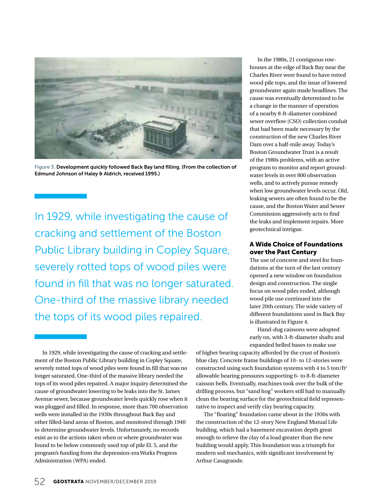

Figure 3. Development quickly followed Back Bay land filling. (From the collection of Edmund Johnson of Haley & Aldrich, received 1995.)

In 1929, while investigating the cause of cracking and settlement of the Boston Public Library building in Copley Square, severely rotted tops of wood piles were found in fill that was no longer saturated. One-third of the massive library needed the tops of its wood piles repaired.

In 1929, while investigating the cause of cracking and settlement of the Boston Public Library building in Copley Square, severely rotted tops of wood piles were found in fill that was no longer saturated. One-third of the massive library needed the tops of its wood piles repaired. A major inquiry determined the cause of groundwater lowering to be leaks into the St. James Avenue sewer, because groundwater levels quickly rose when it was plugged and filled. In response, more than 700 observation wells were installed in the 1930s throughout Back Bay and other filled-land areas of Boston, and monitored through 1940 to determine groundwater levels. Unfortunately, no records exist as to the actions taken when or where groundwater was found to be below commonly used top of pile El. 5, and the program's funding from the depression-era Works Progress Administration (WPA) ended.

In the 1980s, 21 contiguous rowhouses at the edge of Back Bay near the Charles River were found to have rotted wood pile tops, and the issue of lowered groundwater again made headlines. The cause was eventually determined to be a change in the manner of operation of a nearby 8-ft-diameter combined sewer overflow (CSO) collection conduit that had been made necessary by the construction of the new Charles River Dam over a half-mile away. Today's Boston Groundwater Trust is a result of the 1980s problems, with an active program to monitor and report groundwater levels in over 800 observation wells, and to actively pursue remedy when low groundwater levels occur. Old, leaking sewers are often found to be the cause, and the Boston Water and Sewer Commission aggressively acts to find the leaks and implement repairs. More geotechnical intrigue.

#### A Wide Choice of Foundations over the Past Century

The use of concrete and steel for foundations at the turn of the last century opened a new window on foundation design and construction. The single focus on wood piles ended, although wood pile use continued into the later 20th century. The wide variety of different foundations used in Back Bay is illustrated in Figure 4.

Hand-dug caissons were adopted early on, with 3-ft-diameter shafts and expanded belled bases to make use

of higher bearing capacity afforded by the crust of Boston's blue clay. Concrete frame buildings of 10- to 12-stories were constructed using such foundation systems with 4 to 5 ton/ $ft<sup>2</sup>$ allowable bearing pressures supporting 6- to 8-ft-diameter caisson bells. Eventually, machines took over the bulk of the drilling process, but "sand hog" workers still had to manually clean the bearing surface for the geotechnical field representative to inspect and verify clay bearing capacity.

The "floating" foundation came about in the 1930s with the construction of the 12-story New England Mutual Life building, which had a basement excavation depth great enough to relieve the clay of a load greater than the new building would apply. This foundation was a triumph for modern soil mechanics, with significant involvement by Arthur Casagrande.